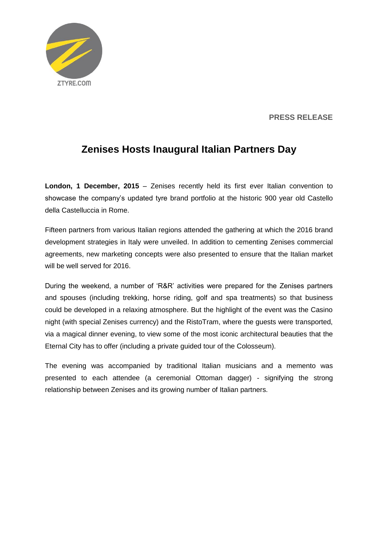

## **PRESS RELEASE**

## **Zenises Hosts Inaugural Italian Partners Day**

**London, 1 December, 2015** – Zenises recently held its first ever Italian convention to showcase the company's updated tyre brand portfolio at the historic 900 year old Castello della Castelluccia in Rome.

Fifteen partners from various Italian regions attended the gathering at which the 2016 brand development strategies in Italy were unveiled. In addition to cementing Zenises commercial agreements, new marketing concepts were also presented to ensure that the Italian market will be well served for 2016.

During the weekend, a number of 'R&R' activities were prepared for the Zenises partners and spouses (including trekking, horse riding, golf and spa treatments) so that business could be developed in a relaxing atmosphere. But the highlight of the event was the Casino night (with special Zenises currency) and the RistoTram, where the guests were transported, via a magical dinner evening, to view some of the most iconic architectural beauties that the Eternal City has to offer (including a private guided tour of the Colosseum).

The evening was accompanied by traditional Italian musicians and a memento was presented to each attendee (a ceremonial Ottoman dagger) - signifying the strong relationship between Zenises and its growing number of Italian partners.